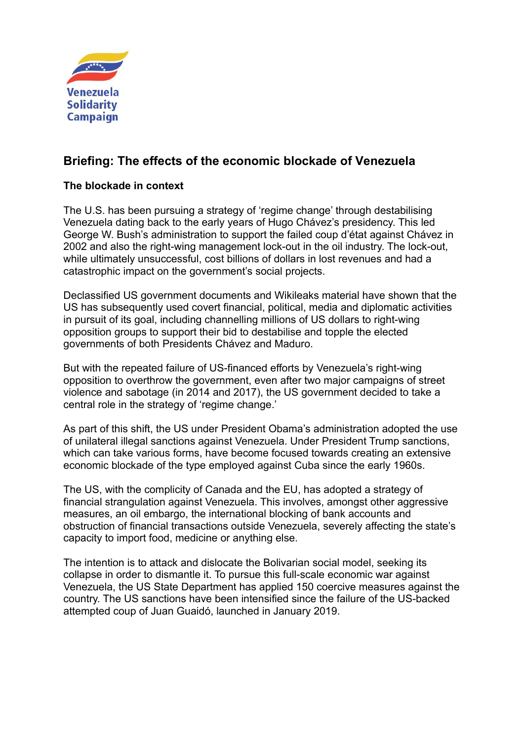

# **Briefing: The effects of the economic blockade of Venezuela**

# **The blockade in context**

The U.S. has been pursuing a strategy of 'regime change' through destabilising Venezuela dating back to the early years of Hugo Chávez's presidency. This led George W. Bush's administration to support the failed coup d'état against Chávez in 2002 and also the right-wing management lock-out in the oil industry. The lock-out, while ultimately unsuccessful, cost billions of dollars in lost revenues and had a catastrophic impact on the government's social projects.

Declassified US government documents and Wikileaks material have shown that the US has subsequently used covert financial, political, media and diplomatic activities in pursuit of its goal, including channelling millions of US dollars to right-wing opposition groups to support their bid to destabilise and topple the elected governments of both Presidents Chávez and Maduro.

But with the repeated failure of US-financed efforts by Venezuela's right-wing opposition to overthrow the government, even after two major campaigns of street violence and sabotage (in 2014 and 2017), the US government decided to take a central role in the strategy of 'regime change.'

As part of this shift, the US under President Obama's administration adopted the use of unilateral illegal sanctions against Venezuela. Under President Trump sanctions, which can take various forms, have become focused towards creating an extensive economic blockade of the type employed against Cuba since the early 1960s.

The US, with the complicity of Canada and the EU, has adopted a strategy of financial strangulation against Venezuela. This involves, amongst other aggressive measures, an oil embargo, the international blocking of bank accounts and obstruction of financial transactions outside Venezuela, severely affecting the state's capacity to import food, medicine or anything else.

The intention is to attack and dislocate the Bolivarian social model, seeking its collapse in order to dismantle it. To pursue this full-scale economic war against Venezuela, the US State Department has applied 150 coercive measures against the country. The US sanctions have been intensified since the failure of the US-backed attempted coup of Juan Guaidό, launched in January 2019.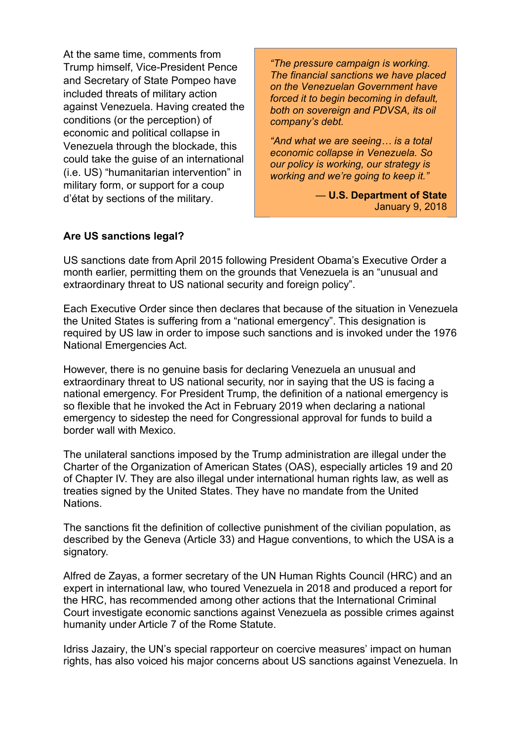At the same time, comments from Trump himself, Vice-President Pence and Secretary of State Pompeo have included threats of military action against Venezuela. Having created the conditions (or the perception) of economic and political collapse in Venezuela through the blockade, this could take the guise of an international (i.e. US) "humanitarian intervention" in military form, or support for a coup d'état by sections of the military.

*"The pressure campaign is working. The financial sanctions we have placed on the Venezuelan Government have forced it to begin becoming in default, both on sovereign and PDVSA, its oil company's debt.*

*"And what we are seeing… is a total economic collapse in Venezuela. So our policy is working, our strategy is working and we're going to keep it."*

> — **U.S. Department of State** January 9, 2018

### **Are US sanctions legal?**

US sanctions date from April 2015 following President Obama's Executive Order a month earlier, permitting them on the grounds that Venezuela is an "unusual and extraordinary threat to US national security and foreign policy".

Each Executive Order since then declares that because of the situation in Venezuela the United States is suffering from a "national emergency". This designation is required by US law in order to impose such sanctions and is invoked under the 1976 National Emergencies Act.

However, there is no genuine basis for declaring Venezuela an unusual and extraordinary threat to US national security, nor in saying that the US is facing a national emergency. For President Trump, the definition of a national emergency is so flexible that he invoked the Act in February 2019 when declaring a national emergency to sidestep the need for Congressional approval for funds to build a border wall with Mexico.

The unilateral sanctions imposed by the Trump administration are illegal under the Charter of the Organization of American States (OAS), especially articles 19 and 20 of Chapter IV. They are also illegal under international human rights law, as well as treaties signed by the United States. They have no mandate from the United Nations.

The sanctions fit the definition of collective punishment of the civilian population, as described by the Geneva (Article 33) and Hague conventions, to which the USA is a signatory.

Alfred de Zayas, a former secretary of the UN Human Rights Council (HRC) and an expert in international law, who toured Venezuela in 2018 and produced a report for the HRC, has recommended among other actions that the International Criminal Court investigate economic sanctions against Venezuela as possible crimes against humanity under Article 7 of the Rome Statute.

Idriss Jazairy, the UN's special rapporteur on coercive measures' impact on human rights, has also voiced his major concerns about US sanctions against Venezuela. In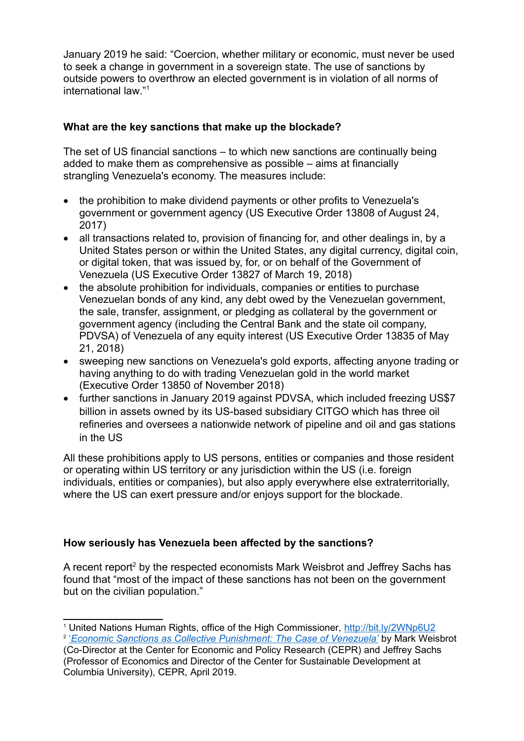January 2019 he said: "Coercion, whether military or economic, must never be used to seek a change in government in a sovereign state. The use of sanctions by outside powers to overthrow an elected government is in violation of all norms of international law."[1](#page-2-0)

# **What are the key sanctions that make up the blockade?**

The set of US financial sanctions – to which new sanctions are continually being added to make them as comprehensive as possible – aims at financially strangling Venezuela's economy. The measures include:

- the prohibition to make dividend payments or other profits to Venezuela's government or government agency (US Executive Order 13808 of August 24, 2017)
- all transactions related to, provision of financing for, and other dealings in, by a United States person or within the United States, any digital currency, digital coin, or digital token, that was issued by, for, or on behalf of the Government of Venezuela (US Executive Order 13827 of March 19, 2018)
- the absolute prohibition for individuals, companies or entities to purchase Venezuelan bonds of any kind, any debt owed by the Venezuelan government, the sale, transfer, assignment, or pledging as collateral by the government or government agency (including the Central Bank and the state oil company, PDVSA) of Venezuela of any equity interest (US Executive Order 13835 of May 21, 2018)
- sweeping new sanctions on Venezuela's gold exports, affecting anyone trading or having anything to do with trading Venezuelan gold in the world market (Executive Order 13850 of November 2018)
- further sanctions in January 2019 against PDVSA, which included freezing US\$7 billion in assets owned by its US-based subsidiary CITGO which has three oil refineries and oversees a nationwide network of pipeline and oil and gas stations in the US

All these prohibitions apply to US persons, entities or companies and those resident or operating within US territory or any jurisdiction within the US (i.e. foreign individuals, entities or companies), but also apply everywhere else extraterritorially, where the US can exert pressure and/or enjoys support for the blockade.

## **How seriously has Venezuela been affected by the sanctions?**

A recent report<sup>[2](#page-2-1)</sup> by the respected economists Mark Weisbrot and Jeffrey Sachs has found that "most of the impact of these sanctions has not been on the government but on the civilian population."

<span id="page-2-0"></span><sup>1</sup> United Nations Human Rights, office of the High Commissioner,<http://bit.ly/2WNp6U2> <sup>2</sup> <u>'*[Economic Sanctions as Collective Punishment: The Case of Venezuela'](http://cepr.net/images/stories/reports/venezuela-sanctions-2019-04.pdf)* by Mark Weisbrot</u>

<span id="page-2-1"></span><sup>(</sup>Co-Director at the Center for Economic and Policy Research (CEPR) and Jeffrey Sachs (Professor of Economics and Director of the Center for Sustainable Development at Columbia University), CEPR, April 2019.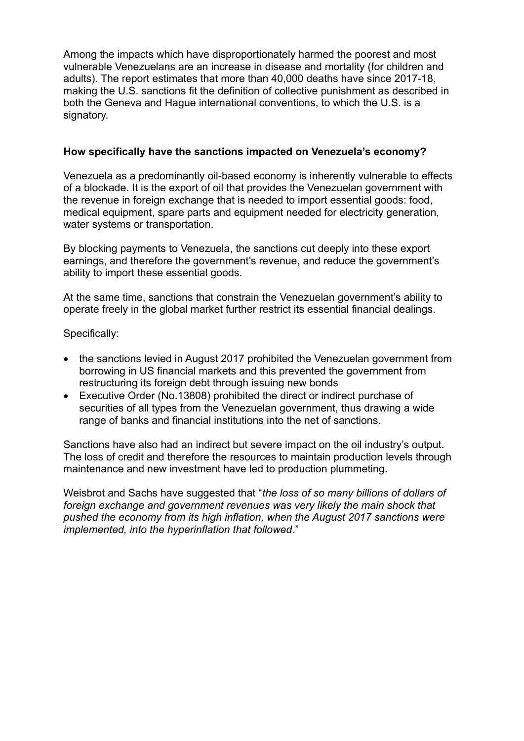Among the impacts which have disproportionately harmed the poorest and most vulnerable Venezuelans are an increase in disease and mortality (for children and adults). The report estimates that more than 40,000 deaths have since 2017-18, making the U.S. sanctions fit the definition of collective punishment as described in both the Geneva and Hague international conventions, to which the U.S. is a signatory.

### **How specifically have the sanctions impacted on Venezuela's economy?**

Venezuela as a predominantly oil-based economy is inherently vulnerable to effects of a blockade. It is the export of oil that provides the Venezuelan government with the revenue in foreign exchange that is needed to import essential goods: food, medical equipment, spare parts and equipment needed for electricity generation, water systems or transportation.

By blocking payments to Venezuela, the sanctions cut deeply into these export earnings, and therefore the government's revenue, and reduce the government's ability to import these essential goods.

At the same time, sanctions that constrain the Venezuelan government's ability to operate freely in the global market further restrict its essential financial dealings.

Specifically:

- the sanctions levied in August 2017 prohibited the Venezuelan government from borrowing in US financial markets and this prevented the government from restructuring its foreign debt through issuing new bonds
- Executive Order (No.13808) prohibited the direct or indirect purchase of securities of all types from the Venezuelan government, thus drawing a wide range of banks and financial institutions into the net of sanctions.

Sanctions have also had an indirect but severe impact on the oil industry's output. The loss of credit and therefore the resources to maintain production levels through maintenance and new investment have led to production plummeting.

Weisbrot and Sachs have suggested that "*the loss of so many billions of dollars of foreign exchange and government revenues was very likely the main shock that pushed the economy from its high inflation, when the August 2017 sanctions were implemented, into the hyperinflation that followed*."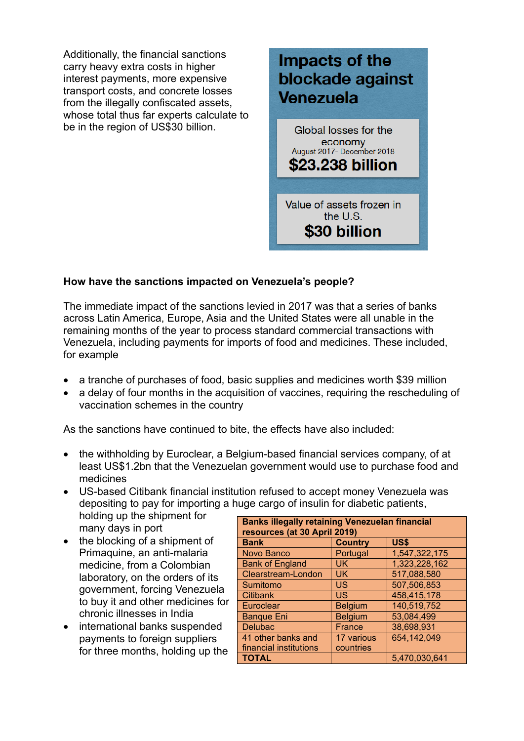Additionally, the financial sanctions carry heavy extra costs in higher interest payments, more expensive transport costs, and concrete losses from the illegally confiscated assets, whose total thus far experts calculate to be in the region of US\$30 billion.

# Impacts of the blockade against Venezuela

Global losses for the economy August 2017- December 2018 \$23.238 billion

Value of assets frozen in the U.S. \$30 billion

## **How have the sanctions impacted on Venezuela's people?**

The immediate impact of the sanctions levied in 2017 was that a series of banks across Latin America, Europe, Asia and the United States were all unable in the remaining months of the year to process standard commercial transactions with Venezuela, including payments for imports of food and medicines. These included, for example

- a tranche of purchases of food, basic supplies and medicines worth \$39 million
- a delay of four months in the acquisition of vaccines, requiring the rescheduling of vaccination schemes in the country

As the sanctions have continued to bite, the effects have also included:

- the withholding by Euroclear, a Belgium-based financial services company, of at least US\$1.2bn that the Venezuelan government would use to purchase food and medicines
- US-based Citibank financial institution refused to accept money Venezuela was depositing to pay for importing a huge cargo of insulin for diabetic patients,

holding up the shipment for many days in port

- the blocking of a shipment of Primaquine, an anti-malaria medicine, from a Colombian laboratory, on the orders of its government, forcing Venezuela to buy it and other medicines for chronic illnesses in India
- international banks suspended payments to foreign suppliers for three months, holding up the

| <b>Banks illegally retaining Venezuelan financial</b><br>resources (at 30 April 2019) |                |               |
|---------------------------------------------------------------------------------------|----------------|---------------|
| <b>Bank</b>                                                                           | <b>Country</b> | <b>US\$</b>   |
| <b>Novo Banco</b>                                                                     | Portugal       | 1,547,322,175 |
| <b>Bank of England</b>                                                                | <b>UK</b>      | 1,323,228,162 |
| Clearstream-London                                                                    | <b>UK</b>      | 517,088,580   |
| Sumitomo                                                                              | US.            | 507,506,853   |
| <b>Citibank</b>                                                                       | US             | 458,415,178   |
| Euroclear                                                                             | <b>Belgium</b> | 140,519,752   |
| <b>Banque Eni</b>                                                                     | <b>Belgium</b> | 53,084,499    |
| <b>Delubac</b>                                                                        | France         | 38,698,931    |
| 41 other banks and                                                                    | 17 various     | 654,142,049   |
| financial institutions                                                                | countries      |               |
| <b>TOTAL</b>                                                                          |                | 5,470,030,641 |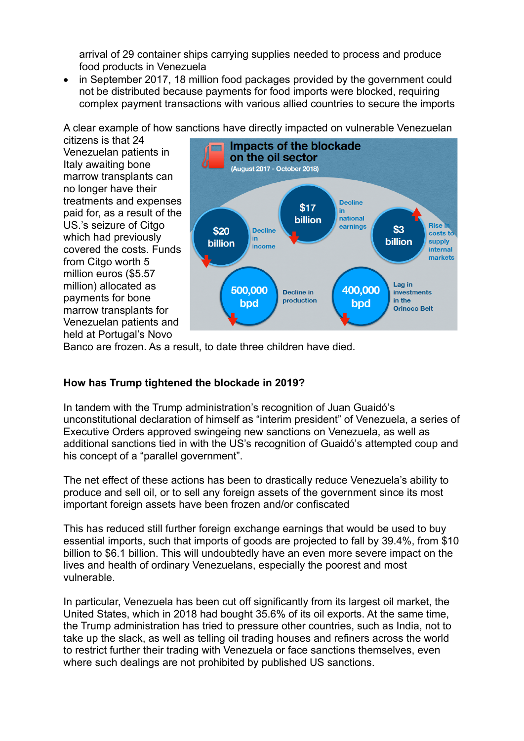arrival of 29 container ships carrying supplies needed to process and produce food products in Venezuela

 in September 2017, 18 million food packages provided by the government could not be distributed because payments for food imports were blocked, requiring complex payment transactions with various allied countries to secure the imports

A clear example of how sanctions have directly impacted on vulnerable Venezuelan

citizens is that 24 Venezuelan patients in Italy awaiting bone marrow transplants can no longer have their treatments and expenses paid for, as a result of the US.'s seizure of Citgo which had previously covered the costs. Funds from Citgo worth 5 million euros (\$5.57 million) allocated as payments for bone marrow transplants for Venezuelan patients and held at Portugal's Novo



Banco are frozen. As a result, to date three children have died.

## **How has Trump tightened the blockade in 2019?**

In tandem with the Trump administration's recognition of Juan Guaidό's unconstitutional declaration of himself as "interim president" of Venezuela, a series of Executive Orders approved swingeing new sanctions on Venezuela, as well as additional sanctions tied in with the US's recognition of Guaidό's attempted coup and his concept of a "parallel government".

The net effect of these actions has been to drastically reduce Venezuela's ability to produce and sell oil, or to sell any foreign assets of the government since its most important foreign assets have been frozen and/or confiscated

This has reduced still further foreign exchange earnings that would be used to buy essential imports, such that imports of goods are projected to fall by 39.4%, from \$10 billion to \$6.1 billion. This will undoubtedly have an even more severe impact on the lives and health of ordinary Venezuelans, especially the poorest and most vulnerable.

In particular, Venezuela has been cut off significantly from its largest oil market, the United States, which in 2018 had bought 35.6% of its oil exports. At the same time, the Trump administration has tried to pressure other countries, such as India, not to take up the slack, as well as telling oil trading houses and refiners across the world to restrict further their trading with Venezuela or face sanctions themselves, even where such dealings are not prohibited by published US sanctions.